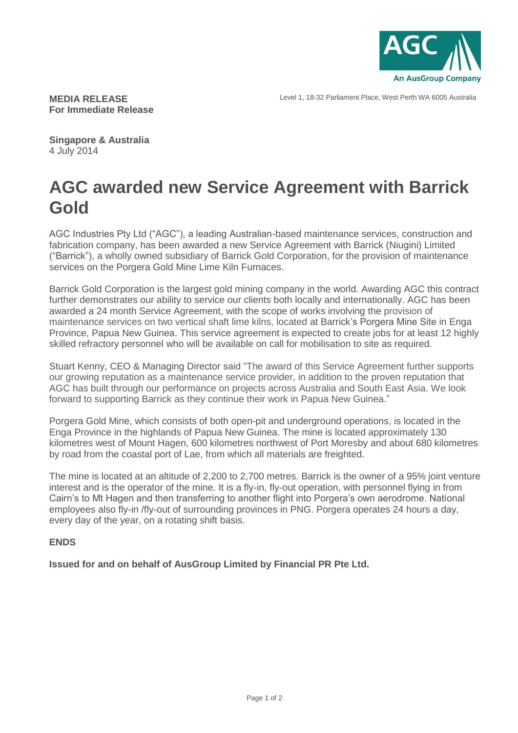

Level 1, 18-32 Parliament Place, West Perth WA 6005 Australia

**MEDIA RELEASE For Immediate Release**

**Singapore & Australia** 4 July 2014

## **AGC awarded new Service Agreement with Barrick Gold**

AGC Industries Pty Ltd ("AGC"), a leading Australian-based maintenance services, construction and fabrication company, has been awarded a new Service Agreement with Barrick (Niugini) Limited ("Barrick"), a wholly owned subsidiary of Barrick Gold Corporation, for the provision of maintenance services on the Porgera Gold Mine Lime Kiln Furnaces.

Barrick Gold Corporation is the largest gold mining company in the world. Awarding AGC this contract further demonstrates our ability to service our clients both locally and internationally. AGC has been awarded a 24 month Service Agreement, with the scope of works involving the provision of maintenance services on two vertical shaft lime kilns, located at Barrick's Porgera Mine Site in Enga Province, Papua New Guinea. This service agreement is expected to create jobs for at least 12 highly skilled refractory personnel who will be available on call for mobilisation to site as required.

Stuart Kenny, CEO & Managing Director said "The award of this Service Agreement further supports our growing reputation as a maintenance service provider, in addition to the proven reputation that AGC has built through our performance on projects across Australia and South East Asia. We look forward to supporting Barrick as they continue their work in Papua New Guinea."

Porgera Gold Mine, which consists of both open-pit and underground operations, is located in the Enga Province in the highlands of Papua New Guinea. The mine is located approximately 130 kilometres west of Mount Hagen, 600 kilometres northwest of Port Moresby and about 680 kilometres by road from the coastal port of Lae, from which all materials are freighted.

The mine is located at an altitude of 2,200 to 2,700 metres. Barrick is the owner of a 95% joint venture interest and is the operator of the mine. It is a fly-in, fly-out operation, with personnel flying in from Cairn's to Mt Hagen and then transferring to another flight into Porgera's own aerodrome. National employees also fly-in /fly-out of surrounding provinces in PNG. Porgera operates 24 hours a day, every day of the year, on a rotating shift basis.

## **ENDS**

**Issued for and on behalf of AusGroup Limited by Financial PR Pte Ltd.**